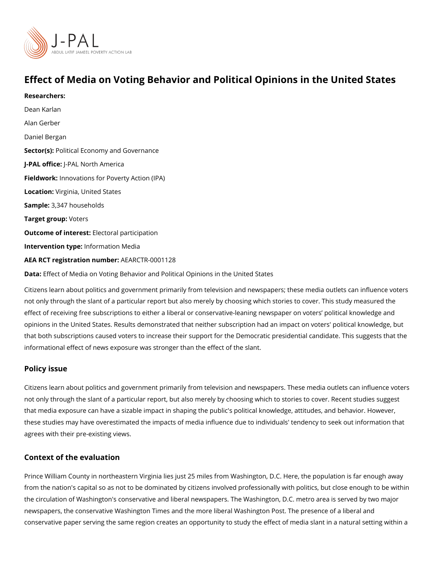# Effect of Media on Voting Behavior and Political Opinions in

Researchers:

[Dean Ka](https://www.povertyactionlab.org/person/karlan)rlan [Alan Ge](https://www.povertyactionlab.org/person/gerber)rber Daniel Bergan Sector(Rolitical Economy and Governance J-PAL of Ui-CRAL North America Fieldworkhovations for Poverty Action (IPA) Locatio Wirginia, United States Sample: 347 households

Target groWpters

Outcome of interestatoral participation

Intervention tympfen: mation Media

AEA RCT registration ArEuAnRbCeTR-0001128

Data[Effect of Media on Voting Behavior and Political O](https://www.aeaweb.org/articles.php)pinions in the United States

Citizens learn about politics and government primarily from television and newspapers; th not only through the slant of a particular report but also merely by choosing which stories effect of receiving free subscriptions to either a liberal or conservative-leaning newspape opinions in the United States. Results demonstrated that neither subscription had an impa that both subscriptions caused voters to increase their support for the Democratic preside informational effect of news exposure was stronger than the effect of the slant.

#### Policy issue

Citizens learn about politics and government primarily from television and newspapers. Th not only through the slant of a particular report, but also merely by choosing which to sto that media exposure can have a sizable impact in shaping the public's political knowledge these studies may have overestimated the impacts of media influence due to individuals' t agrees with their pre-existing views.

### Context of the evaluation

Prince William County in northeastern Virginia lies just 25 miles from Washington, D.C. H from the nation's capital so as not to be dominated by citizens involved professionally wi the circulation of Washington's conservative and liberal newspapers. The Washington, D.C. newspapers, the conservative Washington Times and the more liberal Washington Post. Th conservative paper serving the same region creates an opportunity to study the effect of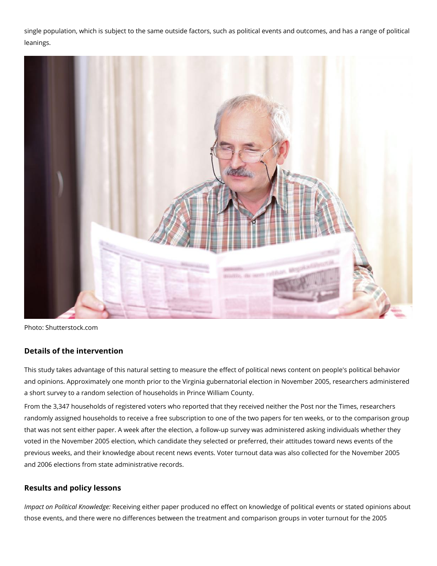single population, which is subject to the same outside factors, such as political events and outcomes, and has a range of political leanings.



Photo: Shutterstock.com

## **Details of the intervention**

This study takes advantage of this natural setting to measure the effect of political news content on people's political behavior and opinions. Approximately one month prior to the Virginia gubernatorial election in November 2005, researchers administered a short survey to a random selection of households in Prince William County.

From the 3,347 households of registered voters who reported that they received neither the Post nor the Times, researchers randomly assigned households to receive a free subscription to one of the two papers for ten weeks, or to the comparison group that was not sent either paper. A week after the election, a follow-up survey was administered asking individuals whether they voted in the November 2005 election, which candidate they selected or preferred, their attitudes toward news events of the previous weeks, and their knowledge about recent news events. Voter turnout data was also collected for the November 2005 and 2006 elections from state administrative records.

## **Results and policy lessons**

*Impact on Political Knowledge:* Receiving either paper produced no effect on knowledge of political events or stated opinions about those events, and there were no differences between the treatment and comparison groups in voter turnout for the 2005